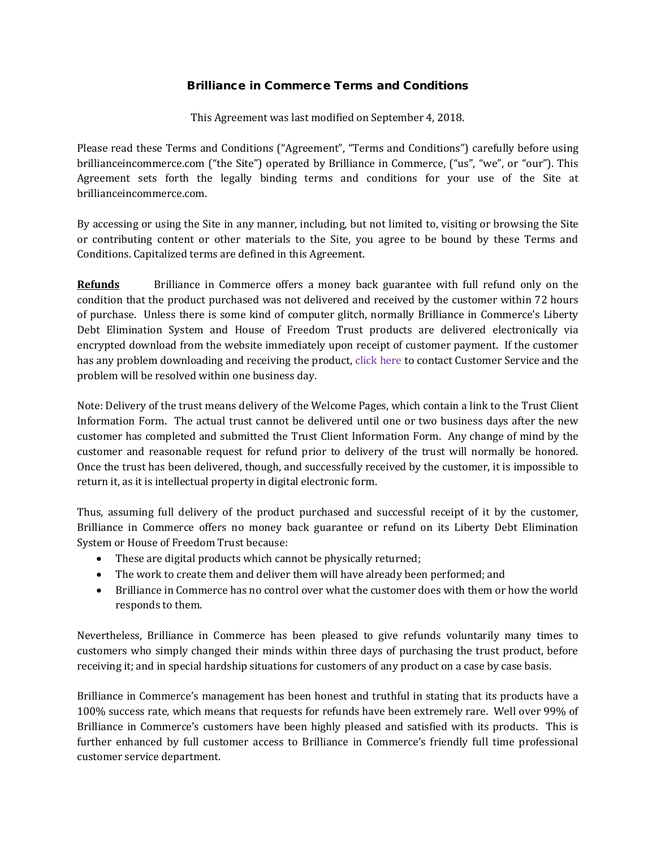## Brilliance in Commerce Terms and Conditions

This Agreement was last modified on September 4, 2018.

Please read these Terms and Conditions ("Agreement", "Terms and Conditions") carefully before using brillianceincommerce.com ("the Site") operated by Brilliance in Commerce, ("us", "we", or "our"). This Agreement sets forth the legally binding terms and conditions for your use of the Site at brillianceincommerce.com.

By accessing or using the Site in any manner, including, but not limited to, visiting or browsing the Site or contributing content or other materials to the Site, you agree to be bound by these Terms and Conditions. Capitalized terms are defined in this Agreement.

**Refunds** Brilliance in Commerce offers a money back guarantee with full refund only on the condition that the product purchased was not delivered and received by the customer within 72 hours of purchase. Unless there is some kind of computer glitch, normally Brilliance in Commerce's Liberty Debt Elimination System and House of Freedom Trust products are delivered electronically via encrypted download from the website immediately upon receipt of customer payment. If the customer has any problem downloading and receiving the product, click here to contact Customer Service and the problem will be resolved within one business day.

Note: Delivery of the trust means delivery of the Welcome Pages, which contain a link to the Trust Client Information Form. The actual trust cannot be delivered until one or two business days after the new customer has completed and submitted the Trust Client Information Form. Any change of mind by the customer and reasonable request for refund prior to delivery of the trust will normally be honored. Once the trust has been delivered, though, and successfully received by the customer, it is impossible to return it, as it is intellectual property in digital electronic form.

Thus, assuming full delivery of the product purchased and successful receipt of it by the customer, Brilliance in Commerce offers no money back guarantee or refund on its Liberty Debt Elimination System or House of Freedom Trust because:

- These are digital products which cannot be physically returned;
- The work to create them and deliver them will have already been performed; and
- Brilliance in Commerce has no control over what the customer does with them or how the world responds to them.

Nevertheless, Brilliance in Commerce has been pleased to give refunds voluntarily many times to customers who simply changed their minds within three days of purchasing the trust product, before receiving it; and in special hardship situations for customers of any product on a case by case basis.

Brilliance in Commerce's management has been honest and truthful in stating that its products have a 100% success rate, which means that requests for refunds have been extremely rare. Well over 99% of Brilliance in Commerce's customers have been highly pleased and satisfied with its products. This is further enhanced by full customer access to Brilliance in Commerce's friendly full time professional customer service department.